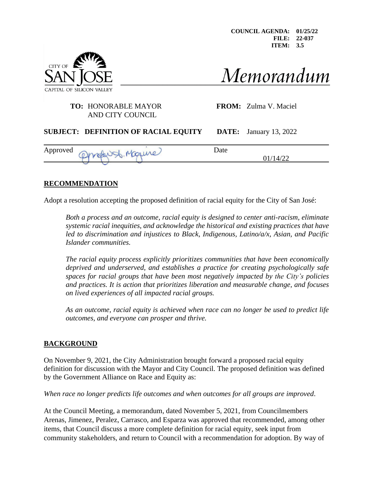**COUNCIL AGENDA: 01/25/22 FILE: 22-037 ITEM: 3.5**



# Memorandum

#### **TO:** HONORABLE MAYOR **FROM:** Zulma V. Maciel AND CITY COUNCIL

#### **SUBJECT: DEFINITION OF RACIAL EQUITY DATE:** January 13, 2022

| Approved | -<br><b>Call Cold</b><br>$\sim$ | Date<br>v |                   |
|----------|---------------------------------|-----------|-------------------|
|          | www                             |           | . ) l<br>4/<br>∠∠ |

#### **RECOMMENDATION**

Adopt a resolution accepting the proposed definition of racial equity for the City of San José:

*Both a process and an outcome, racial equity is designed to center anti-racism, eliminate systemic racial inequities, and acknowledge the historical and existing practices that have led to discrimination and injustices to Black, Indigenous, Latino/a/x, Asian, and Pacific Islander communities.* 

*The racial equity process explicitly prioritizes communities that have been economically deprived and underserved, and establishes a practice for creating psychologically safe spaces for racial groups that have been most negatively impacted by the City's policies and practices. It is action that prioritizes liberation and measurable change, and focuses on lived experiences of all impacted racial groups.* 

*As an outcome, racial equity is achieved when race can no longer be used to predict life outcomes, and everyone can prosper and thrive.* 

#### **BACKGROUND**

On November 9, 2021, the City Administration brought forward a proposed racial equity definition for discussion with the Mayor and City Council. The proposed definition was defined by the Government Alliance on Race and Equity as:

*When race no longer predicts life outcomes and when outcomes for all groups are improved*.

At the Council Meeting, a memorandum, dated November 5, 2021, from Councilmembers Arenas, Jimenez, Peralez, Carrasco, and Esparza was approved that recommended, among other items, that Council discuss a more complete definition for racial equity, seek input from community stakeholders, and return to Council with a recommendation for adoption. By way of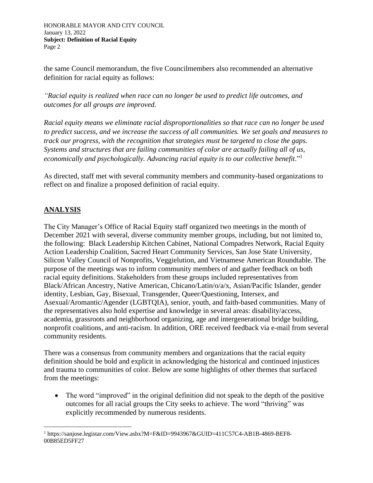HONORABLE MAYOR AND CITY COUNCIL January 13, 2022 **Subject: Definition of Racial Equity**  Page 2

the same Council memorandum, the five Councilmembers also recommended an alternative definition for racial equity as follows:

*"Racial equity is realized when race can no longer be used to predict life outcomes, and outcomes for all groups are improved.*

*Racial equity means we eliminate racial disproportionalities so that race can no longer be used to predict success, and we increase the success of all communities. We set goals and measures to track our progress, with the recognition that strategies must be targeted to close the gaps. Systems and structures that are failing communities of color are actually failing all of us, economically and psychologically. Advancing racial equity is to our collective benefit*." 1

As directed, staff met with several community members and community-based organizations to reflect on and finalize a proposed definition of racial equity.

## **ANALYSIS**

The City Manager's Office of Racial Equity staff organized two meetings in the month of December 2021 with several, diverse community member groups, including, but not limited to, the following: Black Leadership Kitchen Cabinet, National Compadres Network, Racial Equity Action Leadership Coalition, Sacred Heart Community Services, San Jose State University, Silicon Valley Council of Nonprofits, Veggielution, and Vietnamese American Roundtable. The purpose of the meetings was to inform community members of and gather feedback on both racial equity definitions. Stakeholders from these groups included representatives from Black/African Ancestry, Native American, Chicano/Latin/o/a/x, Asian/Pacific Islander, gender identity, Lesbian, Gay, Bisexual, Transgender, Queer/Questioning, Intersex, and Asexual/Aromantic/Agender (LGBTQIA), senior, youth, and faith-based communities. Many of the representatives also hold expertise and knowledge in several areas: disability/access, academia, grassroots and neighborhood organizing, age and intergenerational bridge building, nonprofit coalitions, and anti-racism. In addition, ORE received feedback via e-mail from several community residents.

There was a consensus from community members and organizations that the racial equity definition should be bold and explicit in acknowledging the historical and continued injustices and trauma to communities of color. Below are some highlights of other themes that surfaced from the meetings:

• The word "improved" in the original definition did not speak to the depth of the positive outcomes for all racial groups the City seeks to achieve. The word "thriving" was explicitly recommended by numerous residents.

<sup>1</sup> https://sanjose.legistar.com/View.ashx?M=F&ID=9943967&GUID=411C57C4-AB1B-4869-BEF8- 00B85ED5FF27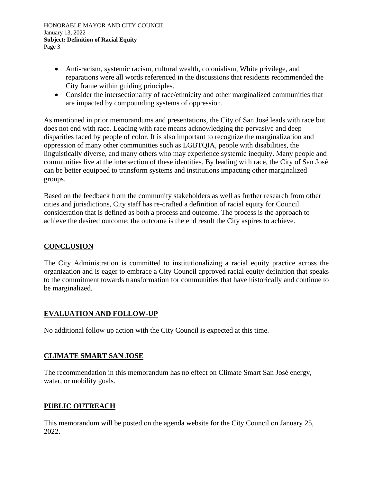HONORABLE MAYOR AND CITY COUNCIL January 13, 2022 **Subject: Definition of Racial Equity**  Page 3

- Anti-racism, systemic racism, cultural wealth, colonialism, White privilege, and reparations were all words referenced in the discussions that residents recommended the City frame within guiding principles.
- Consider the intersectionality of race/ethnicity and other marginalized communities that are impacted by compounding systems of oppression.

As mentioned in prior memorandums and presentations, the City of San José leads with race but does not end with race. Leading with race means acknowledging the pervasive and deep disparities faced by people of color. It is also important to recognize the marginalization and oppression of many other communities such as LGBTQIA, people with disabilities, the linguistically diverse, and many others who may experience systemic inequity. Many people and communities live at the intersection of these identities. By leading with race, the City of San José can be better equipped to transform systems and institutions impacting other marginalized groups.

Based on the feedback from the community stakeholders as well as further research from other cities and jurisdictions, City staff has re-crafted a definition of racial equity for Council consideration that is defined as both a process and outcome. The process is the approach to achieve the desired outcome; the outcome is the end result the City aspires to achieve.

## **CONCLUSION**

The City Administration is committed to institutionalizing a racial equity practice across the organization and is eager to embrace a City Council approved racial equity definition that speaks to the commitment towards transformation for communities that have historically and continue to be marginalized.

## **EVALUATION AND FOLLOW-UP**

No additional follow up action with the City Council is expected at this time.

#### **CLIMATE SMART SAN JOSE**

The recommendation in this memorandum has no effect on Climate Smart San José energy, water, or mobility goals.

## **PUBLIC OUTREACH**

This memorandum will be posted on the agenda website for the City Council on January 25, 2022.